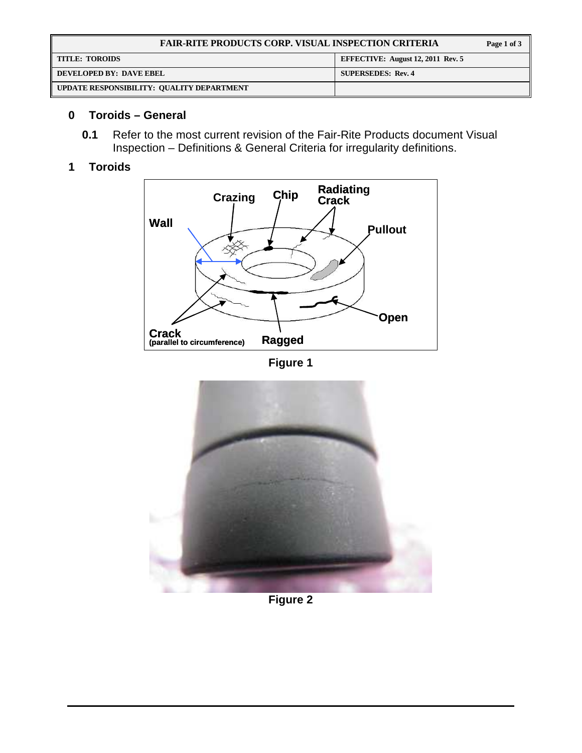| <b>FAIR-RITE PRODUCTS CORP. VISUAL INSPECTION CRITERIA</b> |                                          |  |  |
|------------------------------------------------------------|------------------------------------------|--|--|
| <b>TITLE: TOROIDS</b>                                      | <b>EFFECTIVE: August 12, 2011 Rev. 5</b> |  |  |
| DEVELOPED BY: DAVE EBEL                                    | <b>SUPERSEDES: Rev. 4</b>                |  |  |
| UPDATE RESPONSIBILITY: QUALITY DEPARTMENT                  |                                          |  |  |

## **0 Toroids – General**

**0.1** Refer to the most current revision of the Fair-Rite Products document Visual Inspection – Definitions & General Criteria for irregularity definitions.

## **1 Toroids**



**Figure 1** 



**Figure 2**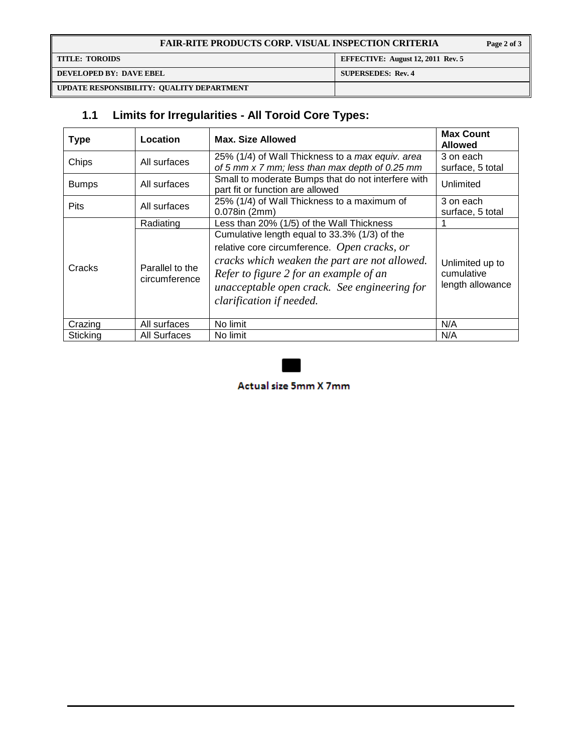| <b>FAIR-RITE PRODUCTS CORP. VISUAL INSPECTION CRITERIA</b> |                                          |  |  |
|------------------------------------------------------------|------------------------------------------|--|--|
| <b>TITLE: TOROIDS</b>                                      | <b>EFFECTIVE:</b> August 12, 2011 Rev. 5 |  |  |
| DEVELOPED BY: DAVE EBEL                                    | <b>SUPERSEDES: Rev. 4</b>                |  |  |
| UPDATE RESPONSIBILITY: QUALITY DEPARTMENT                  |                                          |  |  |

# **1.1 Limits for Irregularities - All Toroid Core Types:**

| <b>Type</b>  | Location                         | Max. Size Allowed                                                                                                                                                                                                                                                    | <b>Max Count</b><br><b>Allowed</b>                |
|--------------|----------------------------------|----------------------------------------------------------------------------------------------------------------------------------------------------------------------------------------------------------------------------------------------------------------------|---------------------------------------------------|
| Chips        | All surfaces                     | 25% (1/4) of Wall Thickness to a max equiv. area                                                                                                                                                                                                                     | 3 on each                                         |
|              |                                  | of 5 mm x 7 mm; less than max depth of 0.25 mm                                                                                                                                                                                                                       | surface, 5 total                                  |
| <b>Bumps</b> | All surfaces                     | Small to moderate Bumps that do not interfere with<br>part fit or function are allowed                                                                                                                                                                               | Unlimited                                         |
| <b>Pits</b>  | All surfaces                     | 25% (1/4) of Wall Thickness to a maximum of                                                                                                                                                                                                                          | 3 on each                                         |
|              |                                  | $0.078$ in (2mm)                                                                                                                                                                                                                                                     | surface, 5 total                                  |
|              | Radiating                        | Less than 20% (1/5) of the Wall Thickness                                                                                                                                                                                                                            |                                                   |
| Cracks       | Parallel to the<br>circumference | Cumulative length equal to 33.3% (1/3) of the<br>relative core circumference. Open cracks, or<br>cracks which weaken the part are not allowed.<br>Refer to figure 2 for an example of an<br>unacceptable open crack. See engineering for<br>clarification if needed. | Unlimited up to<br>cumulative<br>length allowance |
| Crazing      | All surfaces                     | No limit                                                                                                                                                                                                                                                             | N/A                                               |
| Sticking     | All Surfaces                     | No limit                                                                                                                                                                                                                                                             | N/A                                               |



Actual size 5mm X 7mm